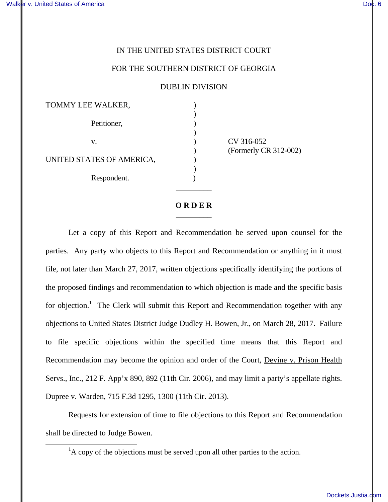i<br>L

## IN THE UNITED STATES DISTRICT COURT

## FOR THE SOUTHERN DISTRICT OF GEORGIA

DUBLIN DIVISION

| TOMMY LEE WALKER,         |  |
|---------------------------|--|
| Petitioner,               |  |
| V.                        |  |
| UNITED STATES OF AMERICA, |  |
| Respondent.               |  |

CV 316-052 ) (Formerly CR 312-002)

## **O R D E R**  $\overline{\phantom{a}}$   $\overline{\phantom{a}}$   $\overline{\phantom{a}}$   $\overline{\phantom{a}}$   $\overline{\phantom{a}}$   $\overline{\phantom{a}}$   $\overline{\phantom{a}}$   $\overline{\phantom{a}}$   $\overline{\phantom{a}}$   $\overline{\phantom{a}}$   $\overline{\phantom{a}}$   $\overline{\phantom{a}}$   $\overline{\phantom{a}}$   $\overline{\phantom{a}}$   $\overline{\phantom{a}}$   $\overline{\phantom{a}}$   $\overline{\phantom{a}}$   $\overline{\phantom{a}}$   $\overline{\$

 $\overline{\phantom{a}}$   $\overline{\phantom{a}}$   $\overline{\phantom{a}}$   $\overline{\phantom{a}}$   $\overline{\phantom{a}}$   $\overline{\phantom{a}}$   $\overline{\phantom{a}}$   $\overline{\phantom{a}}$   $\overline{\phantom{a}}$   $\overline{\phantom{a}}$   $\overline{\phantom{a}}$   $\overline{\phantom{a}}$   $\overline{\phantom{a}}$   $\overline{\phantom{a}}$   $\overline{\phantom{a}}$   $\overline{\phantom{a}}$   $\overline{\phantom{a}}$   $\overline{\phantom{a}}$   $\overline{\$ 

 Let a copy of this Report and Recommendation be served upon counsel for the parties. Any party who objects to this Report and Recommendation or anything in it must file, not later than March 27, 2017, written objections specifically identifying the portions of the proposed findings and recommendation to which objection is made and the specific basis for objection.<sup>1</sup> The Clerk will submit this Report and Recommendation together with any objections to United States District Judge Dudley H. Bowen, Jr., on March 28, 2017. Failure to file specific objections within the specified time means that this Report and Recommendation may become the opinion and order of the Court, Devine v. Prison Health Servs., Inc., 212 F. App'x 890, 892 (11th Cir. 2006), and may limit a party's appellate rights. Dupree v. Warden, 715 F.3d 1295, 1300 (11th Cir. 2013).

 Requests for extension of time to file objections to this Report and Recommendation shall be directed to Judge Bowen.

 ${}^{1}$ A copy of the objections must be served upon all other parties to the action.